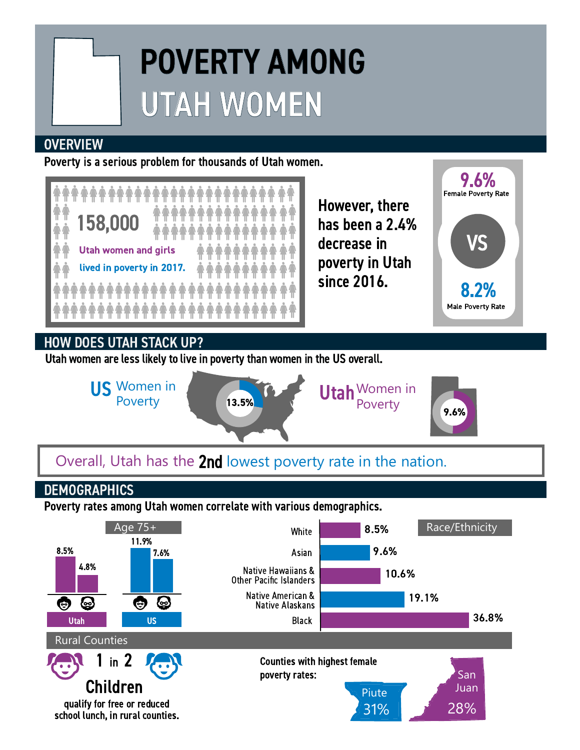# POVERTY AMONG UTAH WOMEN

#### **OVERVIEW**

Poverty is a serious problem for thousands of Utah women.



## HOW DOES UTAH STACK UP?

Utah women are less likely to live in poverty than women in the US overall.



## Overall, Utah has the 2nd lowest poverty rate in the nation.

### **DEMOGRAPHICS**

Poverty rates among Utah women correlate with various demographics.